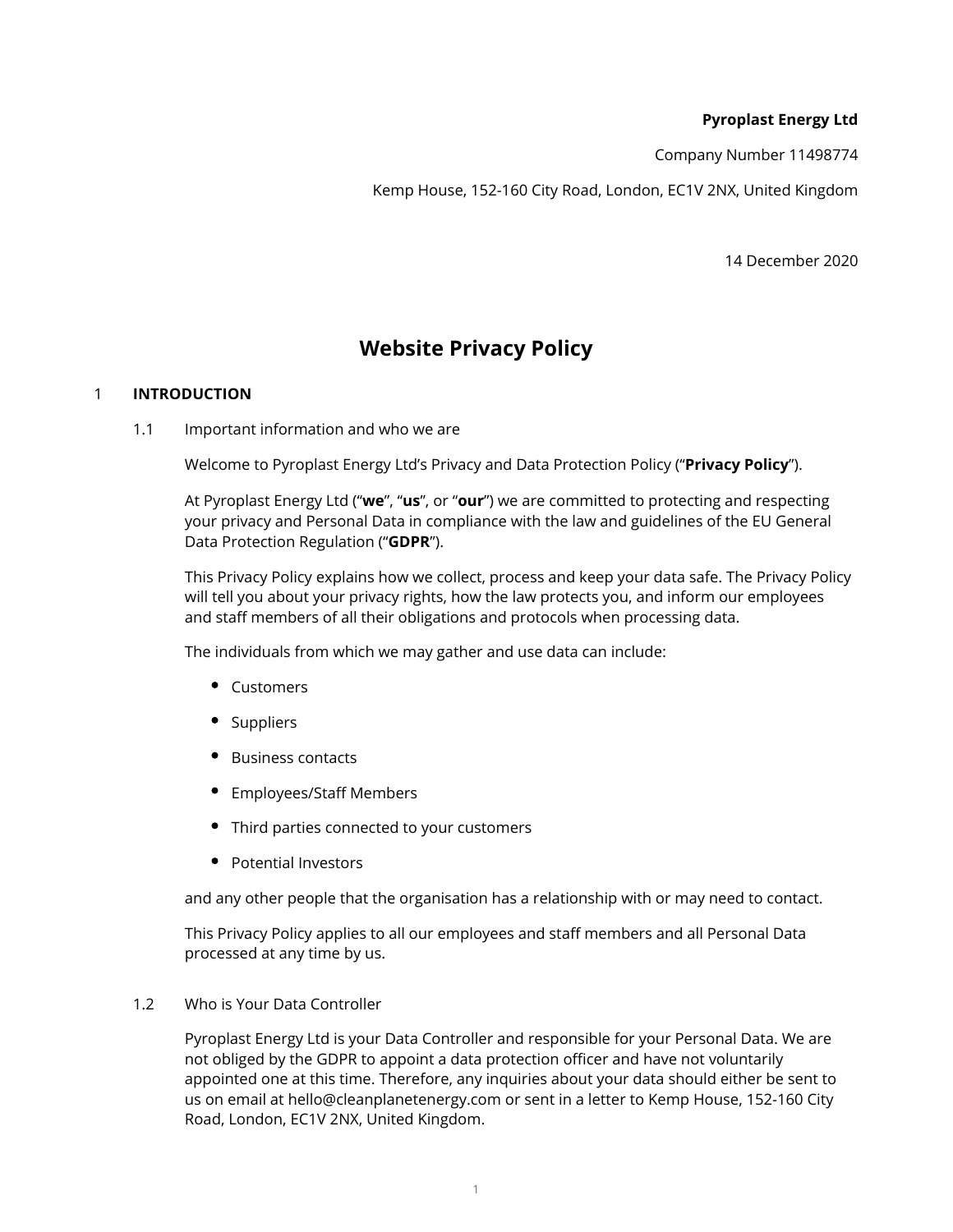# **Pyroplast Energy Ltd**

Company Number 11498774

Kemp House, 152-160 City Road, London, EC1V 2NX, United Kingdom

14 December 2020

# **Website Privacy Policy**

# 1 **INTRODUCTION**

1.1 Important information and who we are

Welcome to Pyroplast Energy Ltd's Privacy and Data Protection Policy ("**Privacy Policy**").

At Pyroplast Energy Ltd ("**we**", "**us**", or "**our**") we are committed to protecting and respecting your privacy and Personal Data in compliance with the law and guidelines of the EU General Data Protection Regulation ("**GDPR**").

This Privacy Policy explains how we collect, process and keep your data safe. The Privacy Policy will tell you about your privacy rights, how the law protects you, and inform our employees and staff members of all their obligations and protocols when processing data.

The individuals from which we may gather and use data can include:

- Customers
- Suppliers
- Business contacts
- Employees/Staff Members
- Third parties connected to your customers
- Potential Investors

and any other people that the organisation has a relationship with or may need to contact.

This Privacy Policy applies to all our employees and staff members and all Personal Data processed at any time by us.

#### 1.2 Who is Your Data Controller

Pyroplast Energy Ltd is your Data Controller and responsible for your Personal Data. We are not obliged by the GDPR to appoint a data protection officer and have not voluntarily appointed one at this time. Therefore, any inquiries about your data should either be sent to us on email at hello@cleanplanetenergy.com or sent in a letter to Kemp House, 152-160 City Road, London, EC1V 2NX, United Kingdom.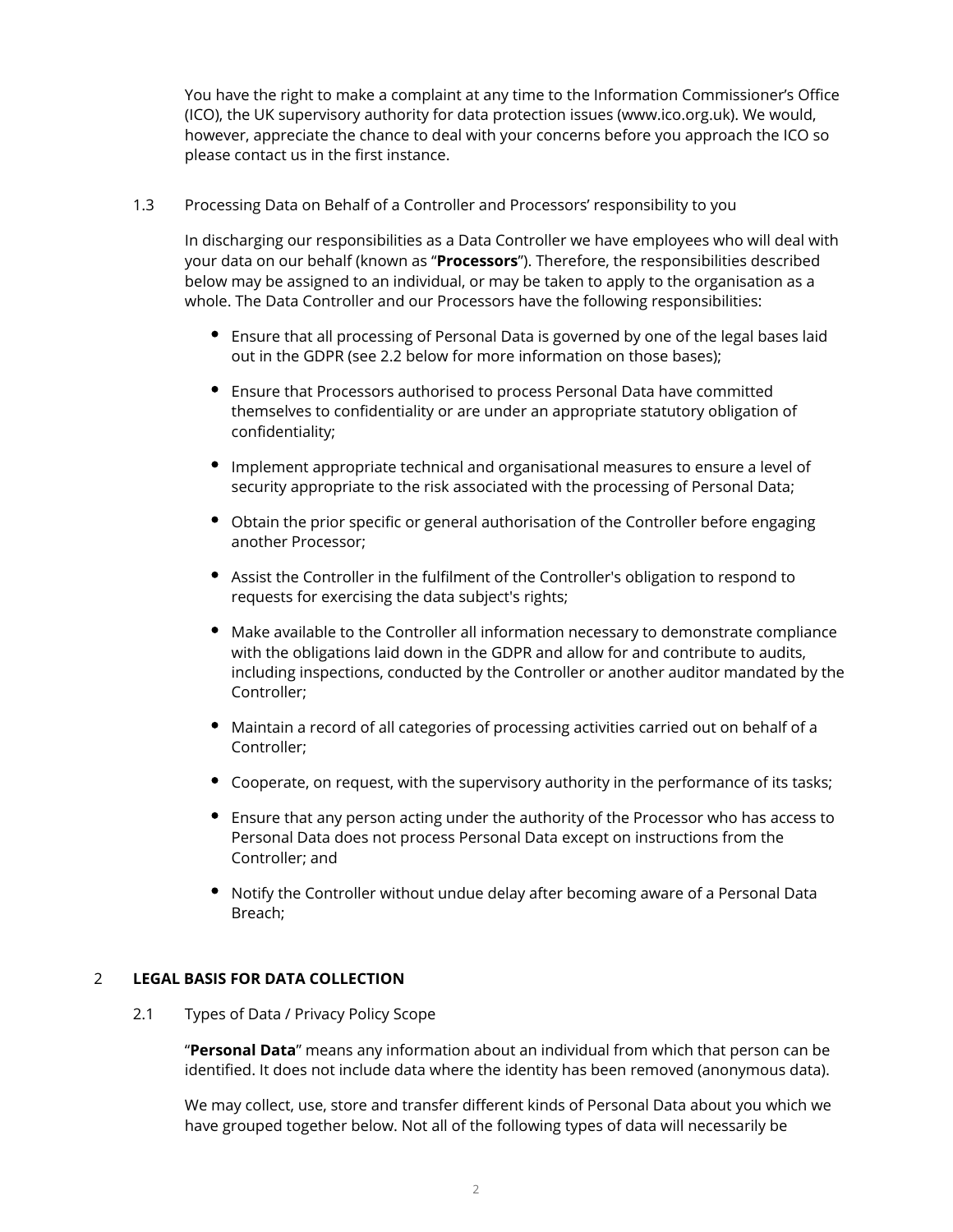You have the right to make a complaint at any time to the Information Commissioner's Office (ICO), the UK supervisory authority for data protection issues (www.ico.org.uk). We would, however, appreciate the chance to deal with your concerns before you approach the ICO so please contact us in the first instance.

## 1.3 Processing Data on Behalf of a Controller and Processors' responsibility to you

In discharging our responsibilities as a Data Controller we have employees who will deal with your data on our behalf (known as "**Processors**"). Therefore, the responsibilities described below may be assigned to an individual, or may be taken to apply to the organisation as a whole. The Data Controller and our Processors have the following responsibilities:

- Ensure that all processing of Personal Data is governed by one of the legal bases laid out in the GDPR (see 2.2 below for more information on those bases);
- Ensure that Processors authorised to process Personal Data have committed themselves to confidentiality or are under an appropriate statutory obligation of confidentiality;
- Implement appropriate technical and organisational measures to ensure a level of security appropriate to the risk associated with the processing of Personal Data;
- Obtain the prior specific or general authorisation of the Controller before engaging another Processor;
- Assist the Controller in the fulfilment of the Controller's obligation to respond to requests for exercising the data subject's rights;
- Make available to the Controller all information necessary to demonstrate compliance with the obligations laid down in the GDPR and allow for and contribute to audits, including inspections, conducted by the Controller or another auditor mandated by the Controller;
- Maintain a record of all categories of processing activities carried out on behalf of a Controller;
- Cooperate, on request, with the supervisory authority in the performance of its tasks;
- Ensure that any person acting under the authority of the Processor who has access to Personal Data does not process Personal Data except on instructions from the Controller; and
- Notify the Controller without undue delay after becoming aware of a Personal Data Breach;

# 2 **LEGAL BASIS FOR DATA COLLECTION**

2.1 Types of Data / Privacy Policy Scope

"**Personal Data**" means any information about an individual from which that person can be identified. It does not include data where the identity has been removed (anonymous data).

We may collect, use, store and transfer different kinds of Personal Data about you which we have grouped together below. Not all of the following types of data will necessarily be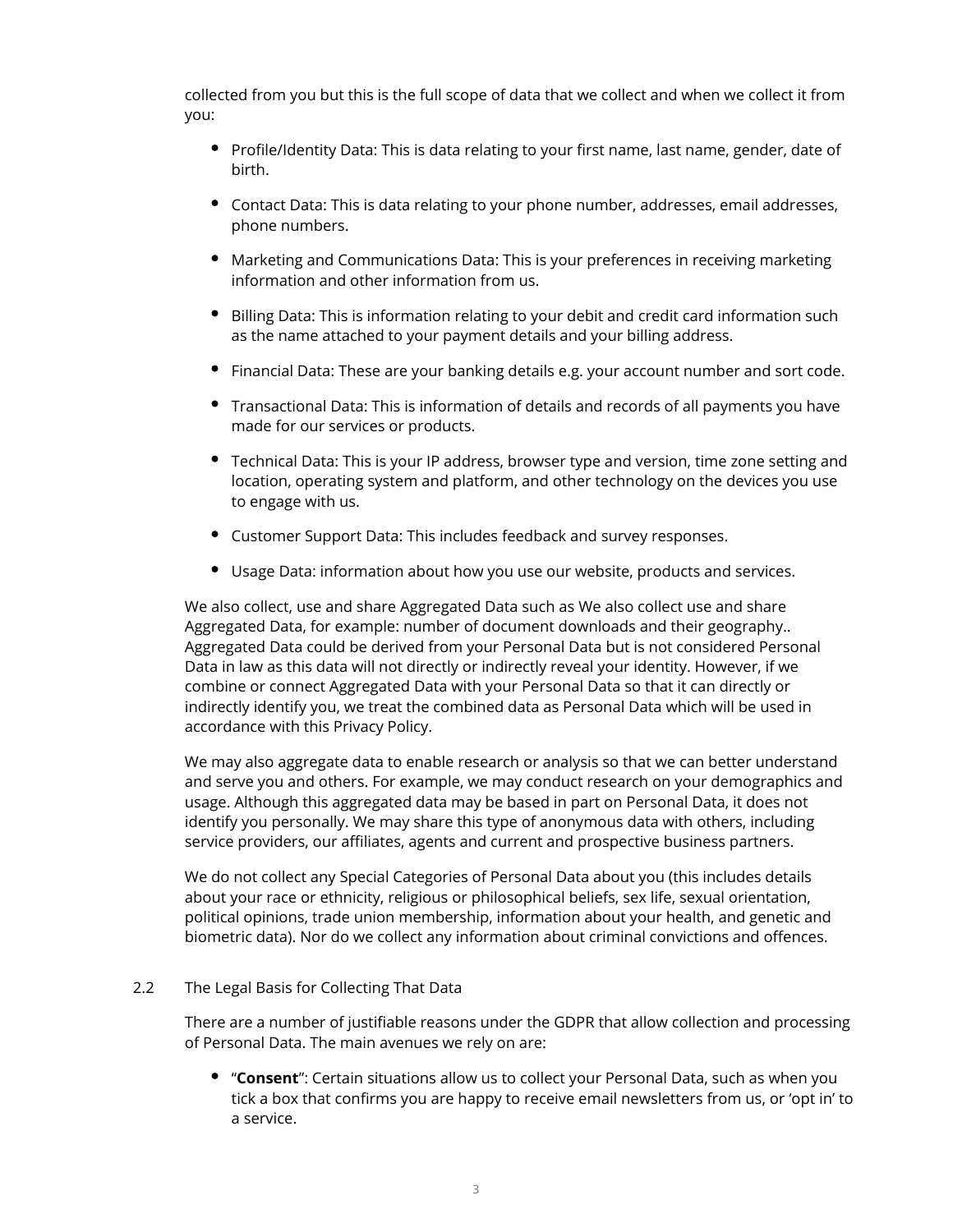collected from you but this is the full scope of data that we collect and when we collect it from you:

- Profile/Identity Data: This is data relating to your first name, last name, gender, date of birth.
- Contact Data: This is data relating to your phone number, addresses, email addresses, phone numbers.
- Marketing and Communications Data: This is your preferences in receiving marketing information and other information from us.
- **•** Billing Data: This is information relating to your debit and credit card information such as the name attached to your payment details and your billing address.
- Financial Data: These are your banking details e.g. your account number and sort code.
- Transactional Data: This is information of details and records of all payments you have made for our services or products.
- Technical Data: This is your IP address, browser type and version, time zone setting and location, operating system and platform, and other technology on the devices you use to engage with us.
- Customer Support Data: This includes feedback and survey responses.
- Usage Data: information about how you use our website, products and services.

We also collect, use and share Aggregated Data such as We also collect use and share Aggregated Data, for example: number of document downloads and their geography.. Aggregated Data could be derived from your Personal Data but is not considered Personal Data in law as this data will not directly or indirectly reveal your identity. However, if we combine or connect Aggregated Data with your Personal Data so that it can directly or indirectly identify you, we treat the combined data as Personal Data which will be used in accordance with this Privacy Policy.

We may also aggregate data to enable research or analysis so that we can better understand and serve you and others. For example, we may conduct research on your demographics and usage. Although this aggregated data may be based in part on Personal Data, it does not identify you personally. We may share this type of anonymous data with others, including service providers, our affiliates, agents and current and prospective business partners.

We do not collect any Special Categories of Personal Data about you (this includes details about your race or ethnicity, religious or philosophical beliefs, sex life, sexual orientation, political opinions, trade union membership, information about your health, and genetic and biometric data). Nor do we collect any information about criminal convictions and offences.

#### 2.2 The Legal Basis for Collecting That Data

There are a number of justifiable reasons under the GDPR that allow collection and processing of Personal Data. The main avenues we rely on are:

"**Consent**": Certain situations allow us to collect your Personal Data, such as when you tick a box that confirms you are happy to receive email newsletters from us, or 'opt in' to a service.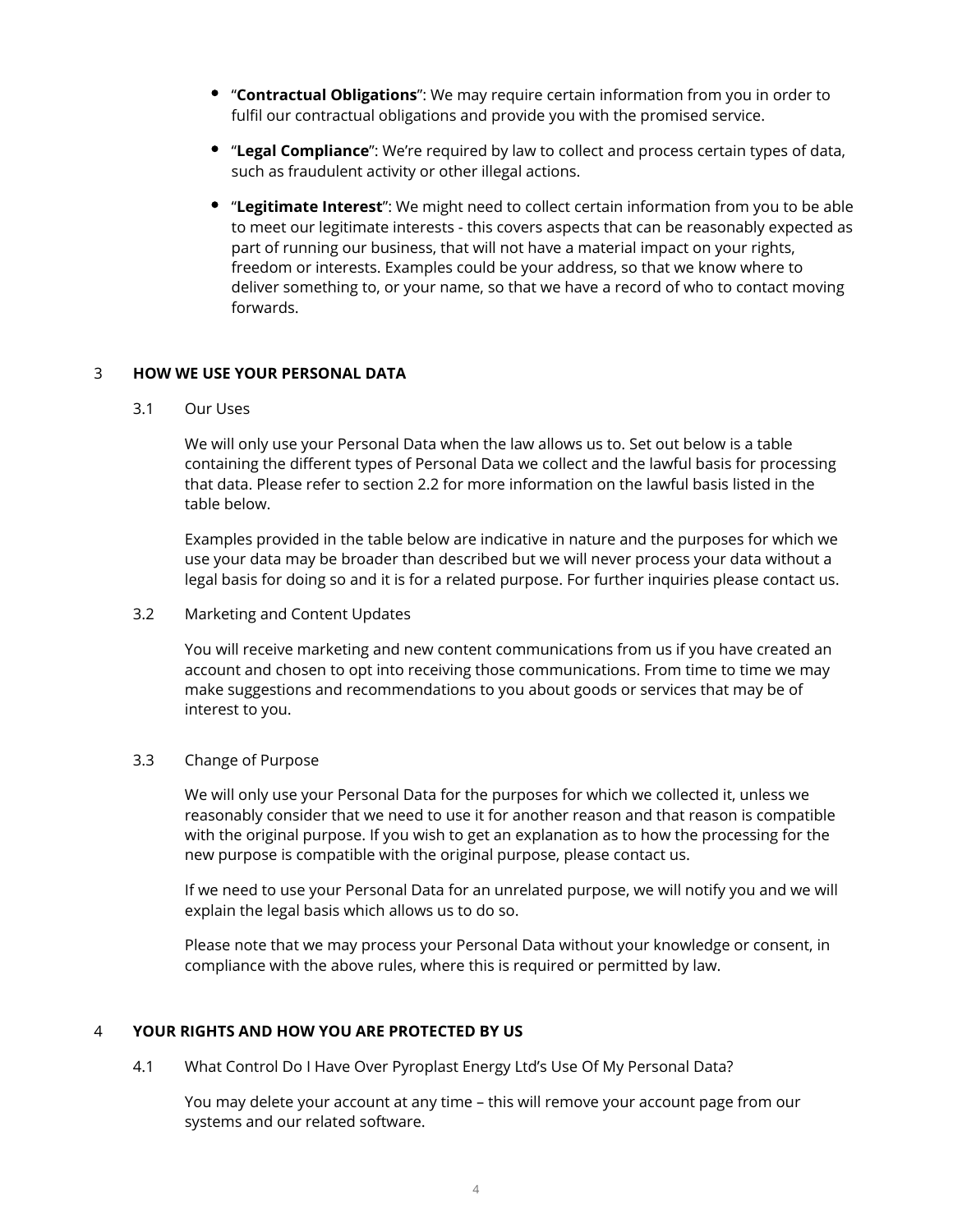- "**Contractual Obligations**": We may require certain information from you in order to fulfil our contractual obligations and provide you with the promised service.
- "**Legal Compliance**": We're required by law to collect and process certain types of data, such as fraudulent activity or other illegal actions.
- "**Legitimate Interest**": We might need to collect certain information from you to be able to meet our legitimate interests - this covers aspects that can be reasonably expected as part of running our business, that will not have a material impact on your rights, freedom or interests. Examples could be your address, so that we know where to deliver something to, or your name, so that we have a record of who to contact moving forwards.

## 3 **HOW WE USE YOUR PERSONAL DATA**

3.1 Our Uses

We will only use your Personal Data when the law allows us to. Set out below is a table containing the different types of Personal Data we collect and the lawful basis for processing that data. Please refer to section 2.2 for more information on the lawful basis listed in the table below.

Examples provided in the table below are indicative in nature and the purposes for which we use your data may be broader than described but we will never process your data without a legal basis for doing so and it is for a related purpose. For further inquiries please contact us.

3.2 Marketing and Content Updates

You will receive marketing and new content communications from us if you have created an account and chosen to opt into receiving those communications. From time to time we may make suggestions and recommendations to you about goods or services that may be of interest to you.

# 3.3 Change of Purpose

We will only use your Personal Data for the purposes for which we collected it, unless we reasonably consider that we need to use it for another reason and that reason is compatible with the original purpose. If you wish to get an explanation as to how the processing for the new purpose is compatible with the original purpose, please contact us.

If we need to use your Personal Data for an unrelated purpose, we will notify you and we will explain the legal basis which allows us to do so.

Please note that we may process your Personal Data without your knowledge or consent, in compliance with the above rules, where this is required or permitted by law.

# 4 **YOUR RIGHTS AND HOW YOU ARE PROTECTED BY US**

4.1 What Control Do I Have Over Pyroplast Energy Ltd's Use Of My Personal Data?

You may delete your account at any time – this will remove your account page from our systems and our related software.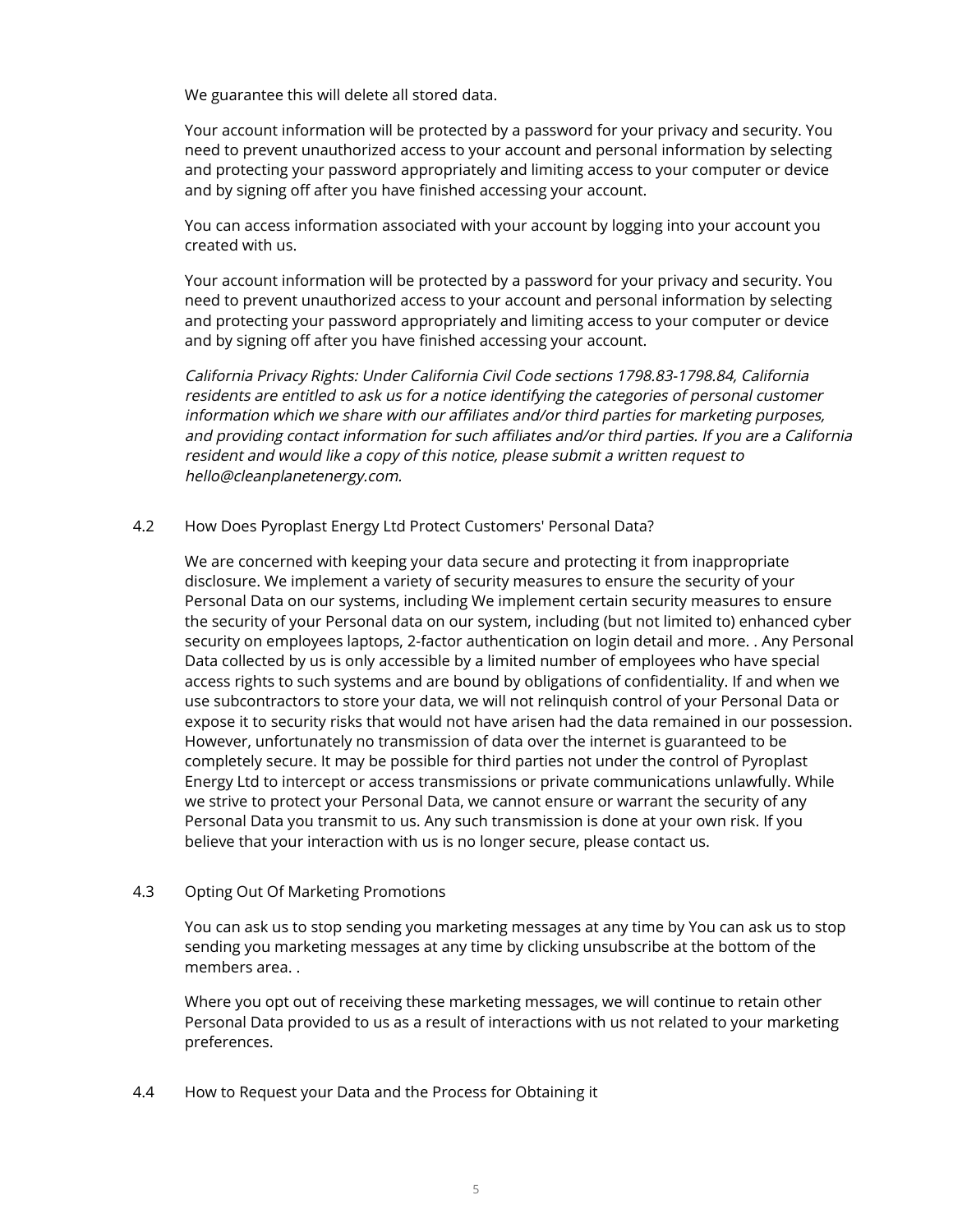We guarantee this will delete all stored data.

Your account information will be protected by a password for your privacy and security. You need to prevent unauthorized access to your account and personal information by selecting and protecting your password appropriately and limiting access to your computer or device and by signing off after you have finished accessing your account.

You can access information associated with your account by logging into your account you created with us.

Your account information will be protected by a password for your privacy and security. You need to prevent unauthorized access to your account and personal information by selecting and protecting your password appropriately and limiting access to your computer or device and by signing off after you have finished accessing your account.

California Privacy Rights: Under California Civil Code sections 1798.83-1798.84, California residents are entitled to ask us for a notice identifying the categories of personal customer information which we share with our affiliates and/or third parties for marketing purposes, and providing contact information for such affiliates and/or third parties. If you are a California resident and would like a copy of this notice, please submit a written request to hello@cleanplanetenergy.com.

## 4.2 How Does Pyroplast Energy Ltd Protect Customers' Personal Data?

We are concerned with keeping your data secure and protecting it from inappropriate disclosure. We implement a variety of security measures to ensure the security of your Personal Data on our systems, including We implement certain security measures to ensure the security of your Personal data on our system, including (but not limited to) enhanced cyber security on employees laptops, 2-factor authentication on login detail and more. . Any Personal Data collected by us is only accessible by a limited number of employees who have special access rights to such systems and are bound by obligations of confidentiality. If and when we use subcontractors to store your data, we will not relinquish control of your Personal Data or expose it to security risks that would not have arisen had the data remained in our possession. However, unfortunately no transmission of data over the internet is guaranteed to be completely secure. It may be possible for third parties not under the control of Pyroplast Energy Ltd to intercept or access transmissions or private communications unlawfully. While we strive to protect your Personal Data, we cannot ensure or warrant the security of any Personal Data you transmit to us. Any such transmission is done at your own risk. If you believe that your interaction with us is no longer secure, please contact us.

#### 4.3 Opting Out Of Marketing Promotions

You can ask us to stop sending you marketing messages at any time by You can ask us to stop sending you marketing messages at any time by clicking unsubscribe at the bottom of the members area. .

Where you opt out of receiving these marketing messages, we will continue to retain other Personal Data provided to us as a result of interactions with us not related to your marketing preferences.

4.4 How to Request your Data and the Process for Obtaining it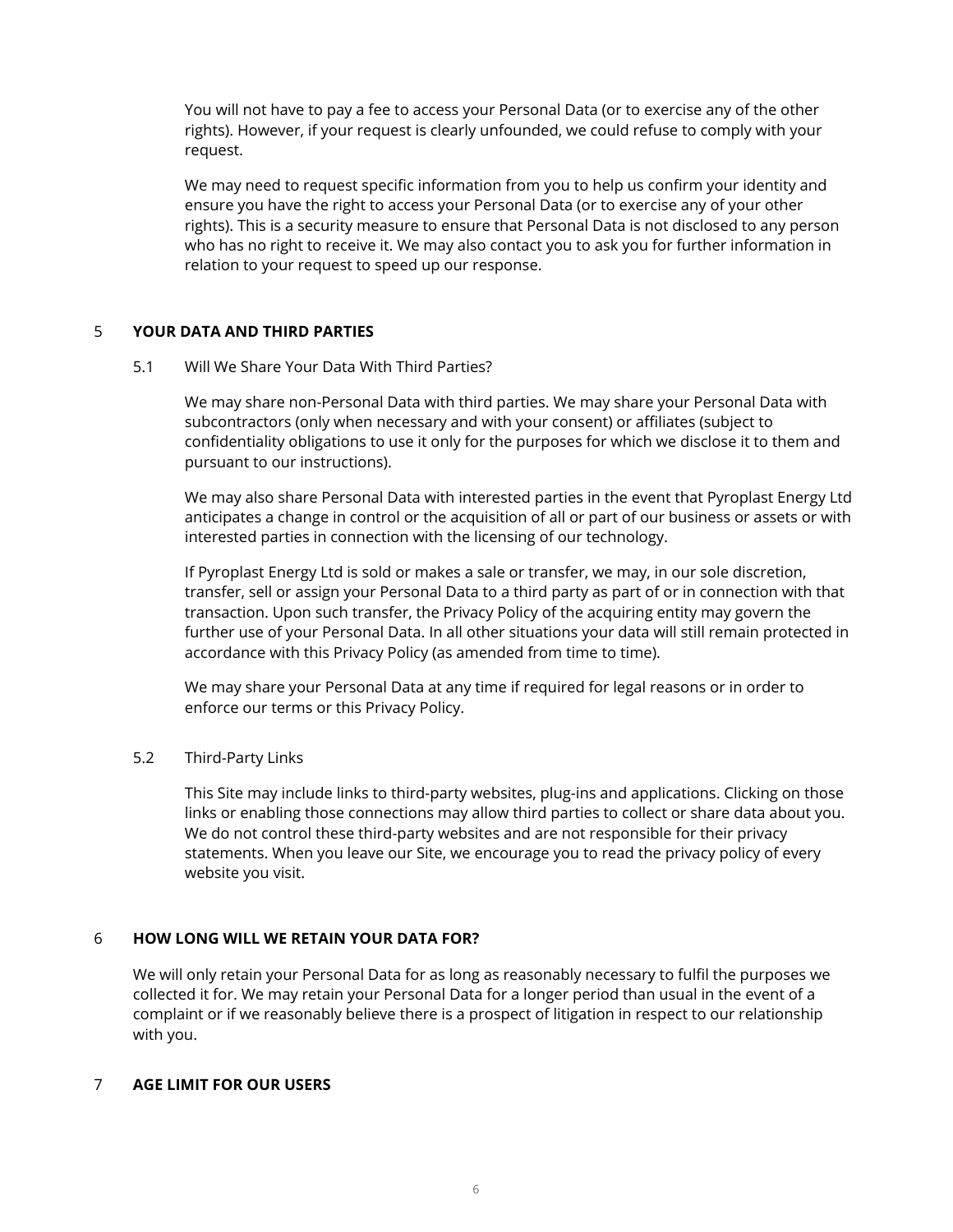You will not have to pay a fee to access your Personal Data (or to exercise any of the other rights). However, if your request is clearly unfounded, we could refuse to comply with your request.

We may need to request specific information from you to help us confirm your identity and ensure you have the right to access your Personal Data (or to exercise any of your other rights). This is a security measure to ensure that Personal Data is not disclosed to any person who has no right to receive it. We may also contact you to ask you for further information in relation to your request to speed up our response.

# 5 **YOUR DATA AND THIRD PARTIES**

5.1 Will We Share Your Data With Third Parties?

We may share non-Personal Data with third parties. We may share your Personal Data with subcontractors (only when necessary and with your consent) or affiliates (subject to confidentiality obligations to use it only for the purposes for which we disclose it to them and pursuant to our instructions).

We may also share Personal Data with interested parties in the event that Pyroplast Energy Ltd anticipates a change in control or the acquisition of all or part of our business or assets or with interested parties in connection with the licensing of our technology.

If Pyroplast Energy Ltd is sold or makes a sale or transfer, we may, in our sole discretion, transfer, sell or assign your Personal Data to a third party as part of or in connection with that transaction. Upon such transfer, the Privacy Policy of the acquiring entity may govern the further use of your Personal Data. In all other situations your data will still remain protected in accordance with this Privacy Policy (as amended from time to time).

We may share your Personal Data at any time if required for legal reasons or in order to enforce our terms or this Privacy Policy.

# 5.2 Third-Party Links

This Site may include links to third-party websites, plug-ins and applications. Clicking on those links or enabling those connections may allow third parties to collect or share data about you. We do not control these third-party websites and are not responsible for their privacy statements. When you leave our Site, we encourage you to read the privacy policy of every website you visit.

# 6 **HOW LONG WILL WE RETAIN YOUR DATA FOR?**

We will only retain your Personal Data for as long as reasonably necessary to fulfil the purposes we collected it for. We may retain your Personal Data for a longer period than usual in the event of a complaint or if we reasonably believe there is a prospect of litigation in respect to our relationship with you.

#### 7 **AGE LIMIT FOR OUR USERS**